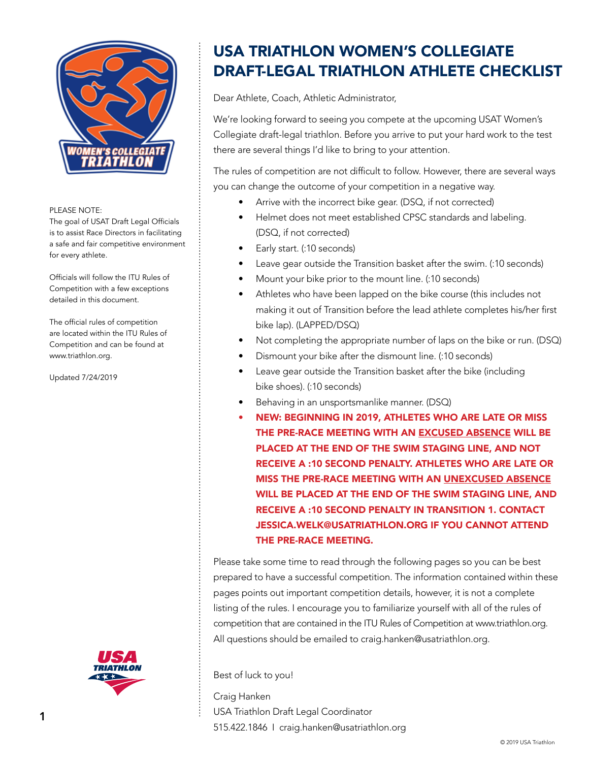

The goal of USAT Draft Legal Officials is to assist Race Directors in facilitating a safe and fair competitive environment for every athlete.

Officials will follow the ITU Rules of Competition with a few exceptions detailed in this document.

The official rules of competition are located within the ITU Rules of Competition and can be found at www.triathlon.org.

Updated 7/24/2019



## USA TRIATHLON WOMEN'S COLLEGIATE DRAFT-LEGAL TRIATHLON ATHLETE CHECKLIST

Dear Athlete, Coach, Athletic Administrator,

We're looking forward to seeing you compete at the upcoming USAT Women's Collegiate draft-legal triathlon. Before you arrive to put your hard work to the test there are several things I'd like to bring to your attention.

The rules of competition are not difficult to follow. However, there are several ways you can change the outcome of your competition in a negative way.

- Arrive with the incorrect bike gear. (DSQ, if not corrected)
- Helmet does not meet established CPSC standards and labeling. (DSQ, if not corrected)
- Early start. (:10 seconds)
- Leave gear outside the Transition basket after the swim. (:10 seconds)
- Mount your bike prior to the mount line. (:10 seconds)
- Athletes who have been lapped on the bike course (this includes not making it out of Transition before the lead athlete completes his/her first bike lap). (LAPPED/DSQ)
- Not completing the appropriate number of laps on the bike or run. (DSQ)
- Dismount your bike after the dismount line. (:10 seconds)
- Leave gear outside the Transition basket after the bike (including bike shoes). (:10 seconds)
- Behaving in an unsportsmanlike manner. (DSQ)
- NEW: BEGINNING IN 2019, ATHLETES WHO ARE LATE OR MISS THE PRE-RACE MEETING WITH AN EXCUSED ABSENCE WILL BE PLACED AT THE END OF THE SWIM STAGING LINE, AND NOT RECEIVE A :10 SECOND PENALTY. ATHLETES WHO ARE LATE OR MISS THE PRE-RACE MEETING WITH AN UNEXCUSED ABSENCE WILL BE PLACED AT THE END OF THE SWIM STAGING LINE, AND RECEIVE A :10 SECOND PENALTY IN TRANSITION 1. CONTACT JESSICA.WELK@USATRIATHLON.ORG IF YOU CANNOT ATTEND THE PRE-RACE MEETING.

Please take some time to read through the following pages so you can be best prepared to have a successful competition. The information contained within these pages points out important competition details, however, it is not a complete listing of the rules. I encourage you to familiarize yourself with all of the rules of competition that are contained in the ITU Rules of Competition at www.triathlon.org. All questions should be emailed to craig.hanken@usatriathlon.org.

Best of luck to you!

Craig Hanken USA Triathlon Draft Legal Coordinator 515.422.1846 I craig.hanken@usatriathlon.org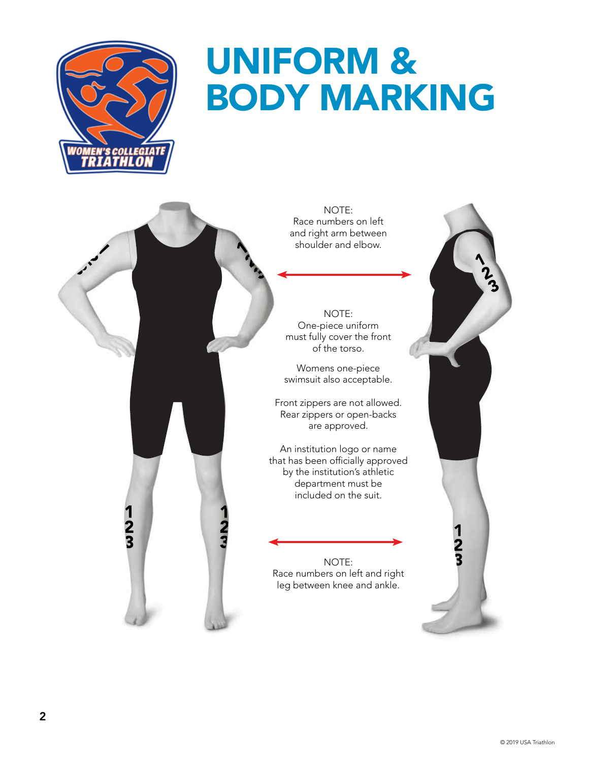

The goal of USAT Draft Legal Office is to assist Race Directors in facilitating a safe and fair competitive environment

Officials will follow the ITU Rules of Competition with a few exceptions of the few exceptions of the few exceptions of the few exceptions of the few exceptions of the few exceptions of the few exceptions of the few exceptions of the few exceptions of the few e detailed in this document.

The official rules of competition are located within the ITU Rules of Competition and can be found at

 $\frac{1}{3}$ 

for every athlete.

# UNIFORM & BODY MARKING

NOTE: Race numbers on left and right arm between shoulder and elbow.

NOTE: One-piece uniform must fully cover the front of the torso.

Womens one-piece swimsuit also acceptable.

Front zippers are not allowed. Rear zippers or open-backs are approved.

An institution logo or name that has been officially approved by the institution's athletic department must be included on the suit.

NOTE: Race numbers on left and right leg between knee and ankle.

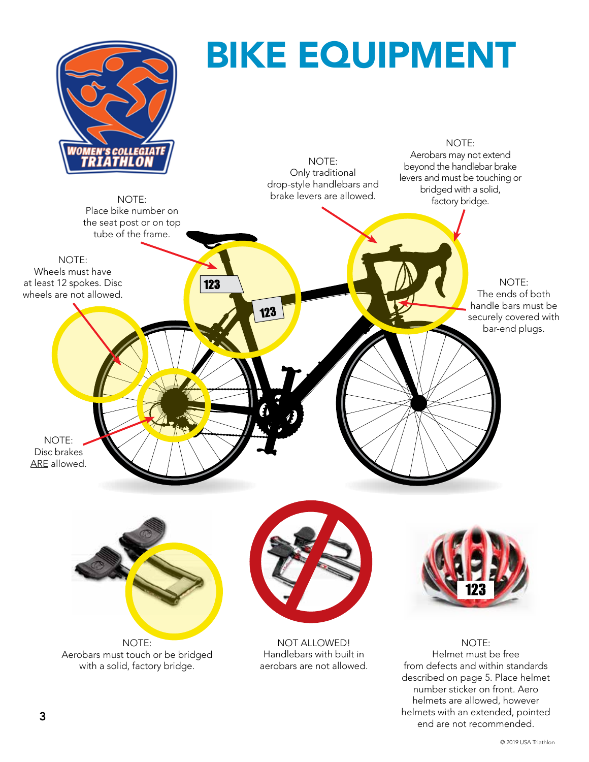

end are not recommended.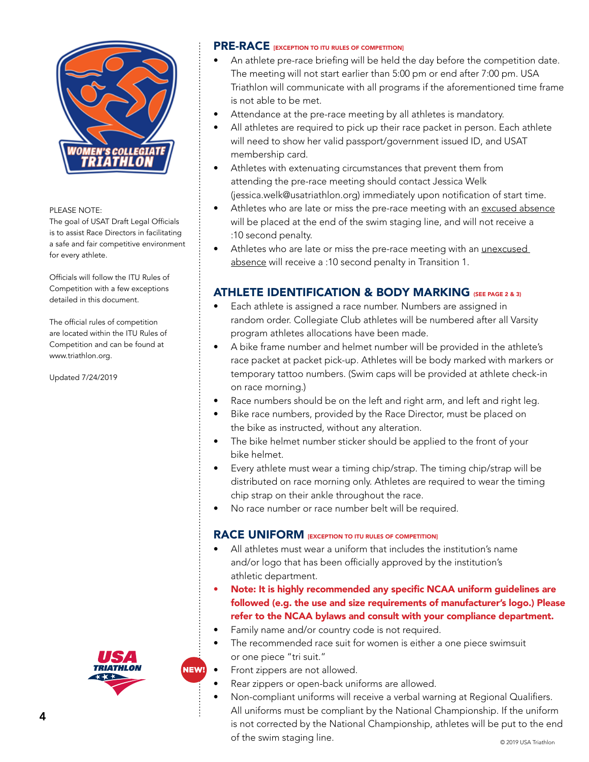

The goal of USAT Draft Legal Officials is to assist Race Directors in facilitating a safe and fair competitive environment for every athlete.

Officials will follow the ITU Rules of Competition with a few exceptions detailed in this document.

The official rules of competition are located within the ITU Rules of Competition and can be found at www.triathlon.org.

Updated 7/24/2019

#### PRE-RACE **IEXCEPTION TO ITU RULES OF COMPETITION**

- An athlete pre-race briefing will be held the day before the competition date. The meeting will not start earlier than 5:00 pm or end after 7:00 pm. USA Triathlon will communicate with all programs if the aforementioned time frame is not able to be met.
- Attendance at the pre-race meeting by all athletes is mandatory.
- All athletes are required to pick up their race packet in person. Each athlete will need to show her valid passport/government issued ID, and USAT membership card.
- Athletes with extenuating circumstances that prevent them from attending the pre-race meeting should contact Jessica Welk (jessica.welk@usatriathlon.org) immediately upon notification of start time.
- Athletes who are late or miss the pre-race meeting with an excused absence will be placed at the end of the swim staging line, and will not receive a :10 second penalty.
- Athletes who are late or miss the pre-race meeting with an unexcused absence will receive a :10 second penalty in Transition 1.

#### ATHLETE IDENTIFICATION & BODY MARKING (SEE PAGE 2 & 3)

- Each athlete is assigned a race number. Numbers are assigned in random order. Collegiate Club athletes will be numbered after all Varsity program athletes allocations have been made.
- A bike frame number and helmet number will be provided in the athlete's race packet at packet pick-up. Athletes will be body marked with markers or temporary tattoo numbers. (Swim caps will be provided at athlete check-in on race morning.)
- Race numbers should be on the left and right arm, and left and right leg.
- Bike race numbers, provided by the Race Director, must be placed on the bike as instructed, without any alteration.
- The bike helmet number sticker should be applied to the front of your bike helmet.
- Every athlete must wear a timing chip/strap. The timing chip/strap will be distributed on race morning only. Athletes are required to wear the timing chip strap on their ankle throughout the race.
- No race number or race number belt will be required.

#### RACE UNIFORM **[EXCEPTION TO ITU RULES OF COMPETITION]**

- All athletes must wear a uniform that includes the institution's name and/or logo that has been officially approved by the institution's athletic department.
- Note: It is highly recommended any specific NCAA uniform guidelines are followed (e.g. the use and size requirements of manufacturer's logo.) Please refer to the NCAA bylaws and consult with your compliance department.
- Family name and/or country code is not required.
- The recommended race suit for women is either a one piece swimsuit or one piece "tri suit."
- Front zippers are not allowed.
- Rear zippers or open-back uniforms are allowed.
- © 2019 USA Triathlon • Non-compliant uniforms will receive a verbal warning at Regional Qualifiers. All uniforms must be compliant by the National Championship. If the uniform is not corrected by the National Championship, athletes will be put to the end of the swim staging line.



NEW!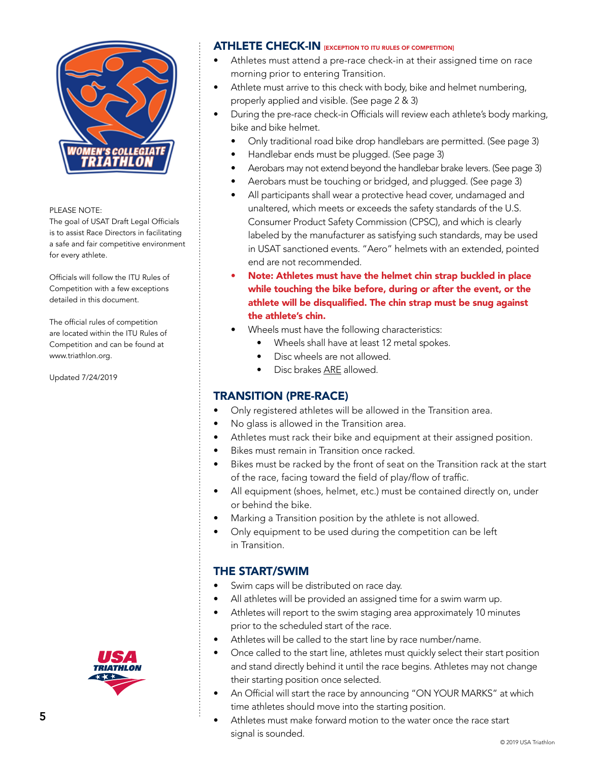

The goal of USAT Draft Legal Officials is to assist Race Directors in facilitating a safe and fair competitive environment for every athlete.

Officials will follow the ITU Rules of Competition with a few exceptions detailed in this document.

The official rules of competition are located within the ITU Rules of Competition and can be found at www.triathlon.org.

Updated 7/24/2019

## ATHLETE CHECK-IN **IEXCEPTION TO ITU RULES OF COMPETITION**

- Athletes must attend a pre-race check-in at their assigned time on race morning prior to entering Transition.
- Athlete must arrive to this check with body, bike and helmet numbering, properly applied and visible. (See page 2 & 3)
- During the pre-race check-in Officials will review each athlete's body marking, bike and bike helmet.
	- Only traditional road bike drop handlebars are permitted. (See page 3)
	- Handlebar ends must be plugged. (See page 3)
	- Aerobars may not extend beyond the handlebar brake levers. (See page 3)
	- Aerobars must be touching or bridged, and plugged. (See page 3)
	- All participants shall wear a protective head cover, undamaged and unaltered, which meets or exceeds the safety standards of the U.S. Consumer Product Safety Commission (CPSC), and which is clearly labeled by the manufacturer as satisfying such standards, may be used in USAT sanctioned events. "Aero" helmets with an extended, pointed end are not recommended.
	- Note: Athletes must have the helmet chin strap buckled in place while touching the bike before, during or after the event, or the athlete will be disqualified. The chin strap must be snug against the athlete's chin.
	- Wheels must have the following characteristics:
		- Wheels shall have at least 12 metal spokes.
		- Disc wheels are not allowed.
		- Disc brakes ARE allowed.

#### TRANSITION (PRE-RACE)

- Only registered athletes will be allowed in the Transition area.
- No glass is allowed in the Transition area.
- Athletes must rack their bike and equipment at their assigned position.
- Bikes must remain in Transition once racked.
- Bikes must be racked by the front of seat on the Transition rack at the start of the race, facing toward the field of play/flow of traffic.
- All equipment (shoes, helmet, etc.) must be contained directly on, under or behind the bike.
- Marking a Transition position by the athlete is not allowed.
- Only equipment to be used during the competition can be left in Transition.

## THE START/SWIM

- Swim caps will be distributed on race day.
- All athletes will be provided an assigned time for a swim warm up.
- Athletes will report to the swim staging area approximately 10 minutes prior to the scheduled start of the race.
- Athletes will be called to the start line by race number/name.
- Once called to the start line, athletes must quickly select their start position and stand directly behind it until the race begins. Athletes may not change their starting position once selected.
- An Official will start the race by announcing "ON YOUR MARKS" at which time athletes should move into the starting position.
- Athletes must make forward motion to the water once the race start signal is sounded.

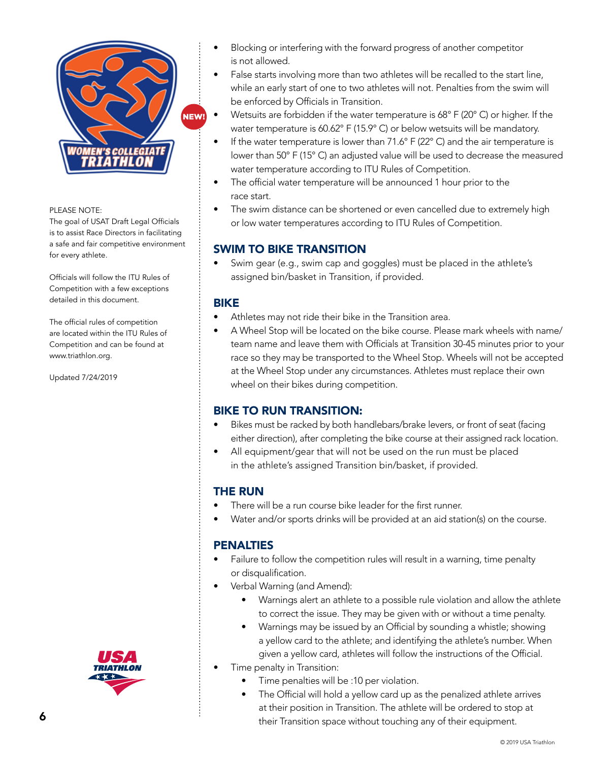

The goal of USAT Draft Legal Officials is to assist Race Directors in facilitating a safe and fair competitive environment for every athlete.

Officials will follow the ITU Rules of Competition with a few exceptions detailed in this document.

The official rules of competition are located within the ITU Rules of Competition and can be found at www.triathlon.org.

Updated 7/24/2019





- Blocking or interfering with the forward progress of another competitor is not allowed.
- False starts involving more than two athletes will be recalled to the start line, while an early start of one to two athletes will not. Penalties from the swim will be enforced by Officials in Transition.
- Wetsuits are forbidden if the water temperature is 68° F (20° C) or higher. If the water temperature is 60.62° F (15.9° C) or below wetsuits will be mandatory.
- If the water temperature is lower than  $71.6^\circ$  F (22 $^\circ$  C) and the air temperature is lower than 50° F (15° C) an adjusted value will be used to decrease the measured water temperature according to ITU Rules of Competition.
- The official water temperature will be announced 1 hour prior to the race start.
- The swim distance can be shortened or even cancelled due to extremely high or low water temperatures according to ITU Rules of Competition.

## SWIM TO BIKE TRANSITION

• Swim gear (e.g., swim cap and goggles) must be placed in the athlete's assigned bin/basket in Transition, if provided.

#### BIKE

- Athletes may not ride their bike in the Transition area.
- A Wheel Stop will be located on the bike course. Please mark wheels with name/ team name and leave them with Officials at Transition 30-45 minutes prior to your race so they may be transported to the Wheel Stop. Wheels will not be accepted at the Wheel Stop under any circumstances. Athletes must replace their own wheel on their bikes during competition.

#### BIKE TO RUN TRANSITION:

- Bikes must be racked by both handlebars/brake levers, or front of seat (facing either direction), after completing the bike course at their assigned rack location.
- All equipment/gear that will not be used on the run must be placed in the athlete's assigned Transition bin/basket, if provided.

## THE RUN

- There will be a run course bike leader for the first runner.
- Water and/or sports drinks will be provided at an aid station(s) on the course.

#### **PENALTIES**

- Failure to follow the competition rules will result in a warning, time penalty or disqualification.
- Verbal Warning (and Amend):
	- Warnings alert an athlete to a possible rule violation and allow the athlete to correct the issue. They may be given with or without a time penalty.
	- Warnings may be issued by an Official by sounding a whistle; showing a yellow card to the athlete; and identifying the athlete's number. When given a yellow card, athletes will follow the instructions of the Official.
- Time penalty in Transition:
	- Time penalties will be :10 per violation.
	- The Official will hold a yellow card up as the penalized athlete arrives at their position in Transition. The athlete will be ordered to stop at their Transition space without touching any of their equipment.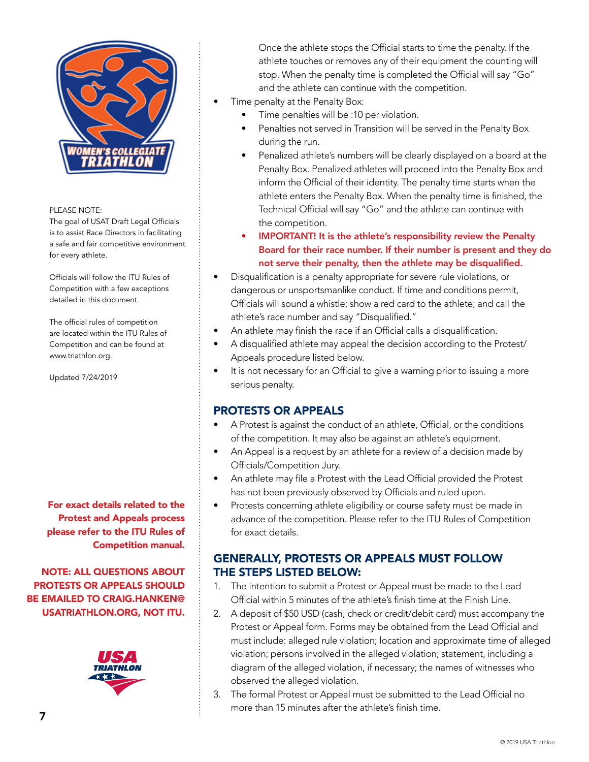

The goal of USAT Draft Legal Officials is to assist Race Directors in facilitating a safe and fair competitive environment for every athlete.

Officials will follow the ITU Rules of Competition with a few exceptions detailed in this document.

The official rules of competition are located within the ITU Rules of Competition and can be found at www.triathlon.org.

Updated 7/24/2019

For exact details related to the Protest and Appeals process please refer to the ITU Rules of Competition manual.

NOTE: ALL QUESTIONS ABOUT PROTESTS OR APPEALS SHOULD BE EMAILED TO CRAIG.HANKEN@ USATRIATHLON.ORG, NOT ITU.



Once the athlete stops the Official starts to time the penalty. If the athlete touches or removes any of their equipment the counting will stop. When the penalty time is completed the Official will say "Go" and the athlete can continue with the competition.

- Time penalty at the Penalty Box:
	- Time penalties will be :10 per violation.
	- Penalties not served in Transition will be served in the Penalty Box during the run.
	- Penalized athlete's numbers will be clearly displayed on a board at the Penalty Box. Penalized athletes will proceed into the Penalty Box and inform the Official of their identity. The penalty time starts when the athlete enters the Penalty Box. When the penalty time is finished, the Technical Official will say "Go" and the athlete can continue with the competition.
	- IMPORTANT! It is the athlete's responsibility review the Penalty Board for their race number. If their number is present and they do not serve their penalty, then the athlete may be disqualified.
- Disqualification is a penalty appropriate for severe rule violations, or dangerous or unsportsmanlike conduct. If time and conditions permit, Officials will sound a whistle; show a red card to the athlete; and call the athlete's race number and say "Disqualified."
- An athlete may finish the race if an Official calls a disqualification.
- A disqualified athlete may appeal the decision according to the Protest/ Appeals procedure listed below.
- It is not necessary for an Official to give a warning prior to issuing a more serious penalty.

#### PROTESTS OR APPEALS

- A Protest is against the conduct of an athlete, Official, or the conditions of the competition. It may also be against an athlete's equipment.
- An Appeal is a request by an athlete for a review of a decision made by Officials/Competition Jury.
- An athlete may file a Protest with the Lead Official provided the Protest has not been previously observed by Officials and ruled upon.
- Protests concerning athlete eligibility or course safety must be made in advance of the competition. Please refer to the ITU Rules of Competition for exact details.

## GENERALLY, PROTESTS OR APPEALS MUST FOLLOW THE STEPS LISTED BELOW:

- 1. The intention to submit a Protest or Appeal must be made to the Lead Official within 5 minutes of the athlete's finish time at the Finish Line.
- 2. A deposit of \$50 USD (cash, check or credit/debit card) must accompany the Protest or Appeal form. Forms may be obtained from the Lead Official and must include: alleged rule violation; location and approximate time of alleged violation; persons involved in the alleged violation; statement, including a diagram of the alleged violation, if necessary; the names of witnesses who observed the alleged violation.
- 3. The formal Protest or Appeal must be submitted to the Lead Official no more than 15 minutes after the athlete's finish time.